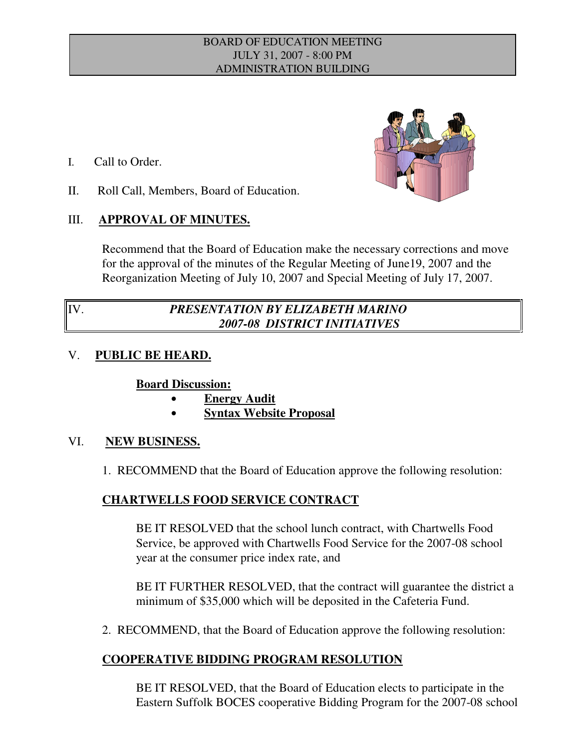#### BOARD OF EDUCATION MEETING JULY 31, 2007 - 8:00 PM ADMINISTRATION BUILDING

- I. Call to Order.
- II. Roll Call, Members, Board of Education.

## III. **APPROVAL OF MINUTES.**

Recommend that the Board of Education make the necessary corrections and move for the approval of the minutes of the Regular Meeting of June19, 2007 and the Reorganization Meeting of July 10, 2007 and Special Meeting of July 17, 2007.

# IV. *PRESENTATION BY ELIZABETH MARINO 2007-08 DISTRICT INITIATIVES*

## V. **PUBLIC BE HEARD.**

## **Board Discussion:**

- **Energy Audit**
- \$ **Syntax Website Proposal**

## VI. **NEW BUSINESS.**

1. RECOMMEND that the Board of Education approve the following resolution:

## **CHARTWELLS FOOD SERVICE CONTRACT**

BE IT RESOLVED that the school lunch contract, with Chartwells Food Service, be approved with Chartwells Food Service for the 2007-08 school year at the consumer price index rate, and

BE IT FURTHER RESOLVED, that the contract will guarantee the district a minimum of \$35,000 which will be deposited in the Cafeteria Fund.

2. RECOMMEND, that the Board of Education approve the following resolution:

## **COOPERATIVE BIDDING PROGRAM RESOLUTION**

BE IT RESOLVED, that the Board of Education elects to participate in the Eastern Suffolk BOCES cooperative Bidding Program for the 2007-08 school

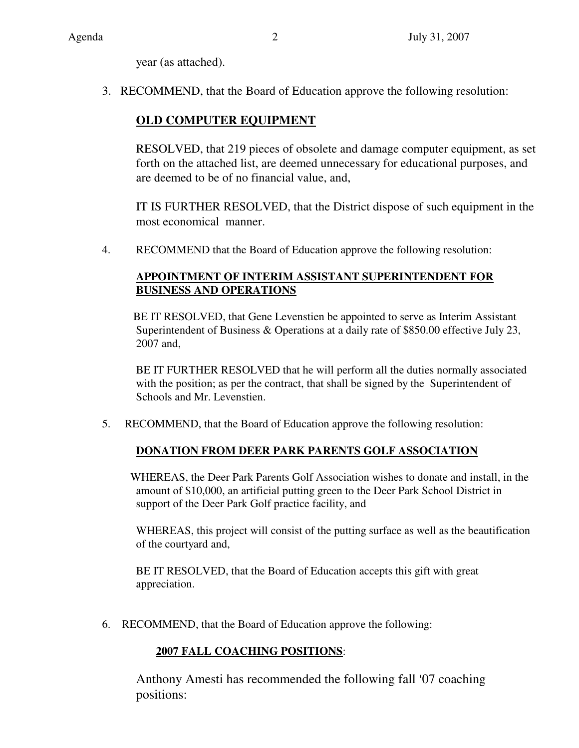year (as attached).

3. RECOMMEND, that the Board of Education approve the following resolution:

## **OLD COMPUTER EQUIPMENT**

RESOLVED, that 219 pieces of obsolete and damage computer equipment, as set forth on the attached list, are deemed unnecessary for educational purposes, and are deemed to be of no financial value, and,

IT IS FURTHER RESOLVED, that the District dispose of such equipment in the most economical manner.

4. RECOMMEND that the Board of Education approve the following resolution:

## **APPOINTMENT OF INTERIM ASSISTANT SUPERINTENDENT FOR BUSINESS AND OPERATIONS**

 BE IT RESOLVED, that Gene Levenstien be appointed to serve as Interim Assistant Superintendent of Business & Operations at a daily rate of \$850.00 effective July 23, 2007 and,

BE IT FURTHER RESOLVED that he will perform all the duties normally associated with the position; as per the contract, that shall be signed by the Superintendent of Schools and Mr. Levenstien.

5. RECOMMEND, that the Board of Education approve the following resolution:

## **DONATION FROM DEER PARK PARENTS GOLF ASSOCIATION**

 WHEREAS, the Deer Park Parents Golf Association wishes to donate and install, in the amount of \$10,000, an artificial putting green to the Deer Park School District in support of the Deer Park Golf practice facility, and

WHEREAS, this project will consist of the putting surface as well as the beautification of the courtyard and,

BE IT RESOLVED, that the Board of Education accepts this gift with great appreciation.

6. RECOMMEND, that the Board of Education approve the following:

## **2007 FALL COACHING POSITIONS**:

Anthony Amesti has recommended the following fall '07 coaching positions: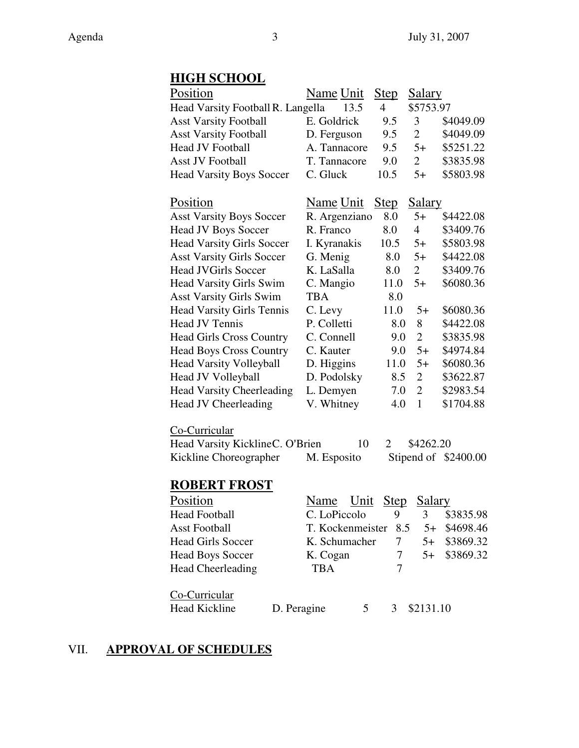# **HIGH SCHOOL**

| Position                          | Name Unit        | <u>Step</u> | <u>Salary</u>  |                      |
|-----------------------------------|------------------|-------------|----------------|----------------------|
| Head Varsity Football R. Langella | 13.5             | 4           | \$5753.97      |                      |
| <b>Asst Varsity Football</b>      | E. Goldrick      | 9.5         | 3              | \$4049.09            |
| <b>Asst Varsity Football</b>      | D. Ferguson      | 9.5         | $\overline{2}$ | \$4049.09            |
| <b>Head JV Football</b>           | A. Tannacore     | 9.5         | $5+$           | \$5251.22            |
| <b>Asst JV Football</b>           | T. Tannacore     | 9.0         | $\overline{2}$ | \$3835.98            |
| <b>Head Varsity Boys Soccer</b>   | C. Gluck         | 10.5        | $5+$           | \$5803.98            |
| Position                          | <u>Name Unit</u> | <b>Step</b> | <b>Salary</b>  |                      |
| <b>Asst Varsity Boys Soccer</b>   | R. Argenziano    | 8.0         | $5+$           | \$4422.08            |
| <b>Head JV Boys Soccer</b>        | R. Franco        | 8.0         | $\overline{4}$ | \$3409.76            |
| <b>Head Varsity Girls Soccer</b>  | I. Kyranakis     | 10.5        | $5+$           | \$5803.98            |
| <b>Asst Varsity Girls Soccer</b>  | G. Menig         | 8.0         | $5+$           | \$4422.08            |
| <b>Head JVGirls Soccer</b>        | K. LaSalla       | 8.0         | $\overline{2}$ | \$3409.76            |
| <b>Head Varsity Girls Swim</b>    | C. Mangio        | 11.0        | $5+$           | \$6080.36            |
| <b>Asst Varsity Girls Swim</b>    | <b>TBA</b>       | 8.0         |                |                      |
| <b>Head Varsity Girls Tennis</b>  | C. Levy          | 11.0        | $5+$           | \$6080.36            |
| <b>Head JV Tennis</b>             | P. Colletti      | 8.0         | 8              | \$4422.08            |
| <b>Head Girls Cross Country</b>   | C. Connell       | 9.0         | $\overline{2}$ | \$3835.98            |
| <b>Head Boys Cross Country</b>    | C. Kauter        | 9.0         | $5+$           | \$4974.84            |
| <b>Head Varsity Volleyball</b>    | D. Higgins       | 11.0        | $5+$           | \$6080.36            |
| Head JV Volleyball                | D. Podolsky      | 8.5         | $\overline{2}$ | \$3622.87            |
| <b>Head Varsity Cheerleading</b>  | L. Demyen        | 7.0         | $\overline{2}$ | \$2983.54            |
| <b>Head JV Cheerleading</b>       | V. Whitney       | 4.0         | 1              | \$1704.88            |
| Co-Curricular                     |                  |             |                |                      |
| Head Varsity KicklineC. O'Brien   | 10               | 2           | \$4262.20      |                      |
| Kickline Choreographer            | M. Esposito      |             |                | Stipend of \$2400.00 |
| <b>ROBERT FROST</b>               |                  |             |                |                      |
| Position                          | Name<br>Unit     | Step        | Salary         |                      |
| <b>Head Football</b>              | C. LoPiccolo     | 9           | 3              | \$3835.98            |
| <b>Asst Football</b>              | T. Kockenmeister | 8.5         | $5+$           | \$4698.46            |
| <b>Head Girls Soccer</b>          | K. Schumacher    | 7           | $5+$           | \$3869.32            |
| <b>Head Boys Soccer</b>           | K. Cogan         | 7           | $5+$           | \$3869.32            |
| <b>Head Cheerleading</b>          | TBA              | 7           |                |                      |
| Co-Curricular                     |                  |             |                |                      |
| Head Kickline<br>D. Peragine      | 5                | 3           | \$2131.10      |                      |

# VII. **APPROVAL OF SCHEDULES**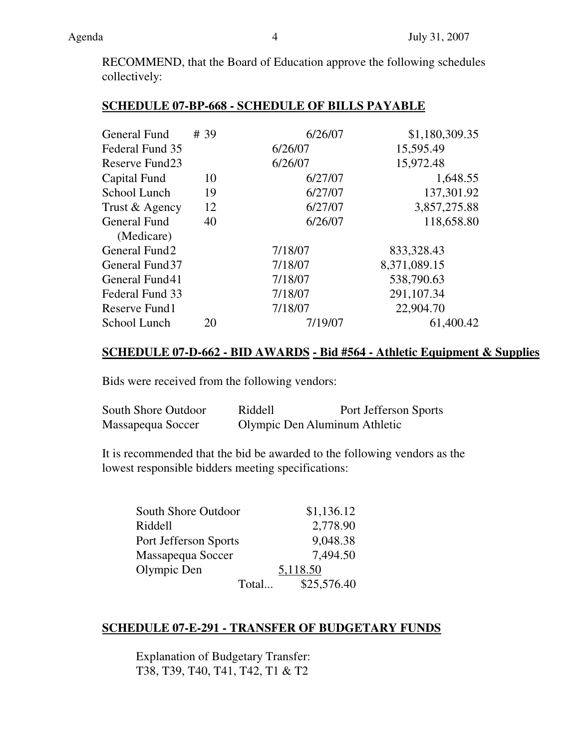RECOMMEND, that the Board of Education approve the following schedules collectively:

## **SCHEDULE 07-BP-668 - SCHEDULE OF BILLS PAYABLE**

| General Fund    | # 39 | 6/26/07 | \$1,180,309.35 |
|-----------------|------|---------|----------------|
| Federal Fund 35 |      | 6/26/07 | 15,595.49      |
| Reserve Fund23  |      | 6/26/07 | 15,972.48      |
| Capital Fund    | 10   | 6/27/07 | 1,648.55       |
| School Lunch    | 19   | 6/27/07 | 137,301.92     |
| Trust & Agency  | 12   | 6/27/07 | 3,857,275.88   |
| General Fund    | 40   | 6/26/07 | 118,658.80     |
| (Medicare)      |      |         |                |
| General Fund2   |      | 7/18/07 | 833,328.43     |
| General Fund 37 |      | 7/18/07 | 8,371,089.15   |
| General Fund41  |      | 7/18/07 | 538,790.63     |
| Federal Fund 33 |      | 7/18/07 | 291,107.34     |
| Reserve Fund1   |      | 7/18/07 | 22,904.70      |
| School Lunch    | 20   | 7/19/07 | 61,400.42      |

## **SCHEDULE 07-D-662 - BID AWARDS - Bid #564 - Athletic Equipment & Supplies**

Bids were received from the following vendors:

| South Shore Outdoor | Riddell | Port Jefferson Sports         |
|---------------------|---------|-------------------------------|
| Massapequa Soccer   |         | Olympic Den Aluminum Athletic |

It is recommended that the bid be awarded to the following vendors as the lowest responsible bidders meeting specifications:

| South Shore Outdoor   |       | \$1,136.12  |
|-----------------------|-------|-------------|
| Riddell               |       | 2,778.90    |
| Port Jefferson Sports |       | 9,048.38    |
| Massapequa Soccer     |       | 7,494.50    |
| Olympic Den           |       | 5,118.50    |
|                       | Total | \$25,576.40 |

## **SCHEDULE 07-E-291 - TRANSFER OF BUDGETARY FUNDS**

Explanation of Budgetary Transfer: T38, T39, T40, T41, T42, T1 & T2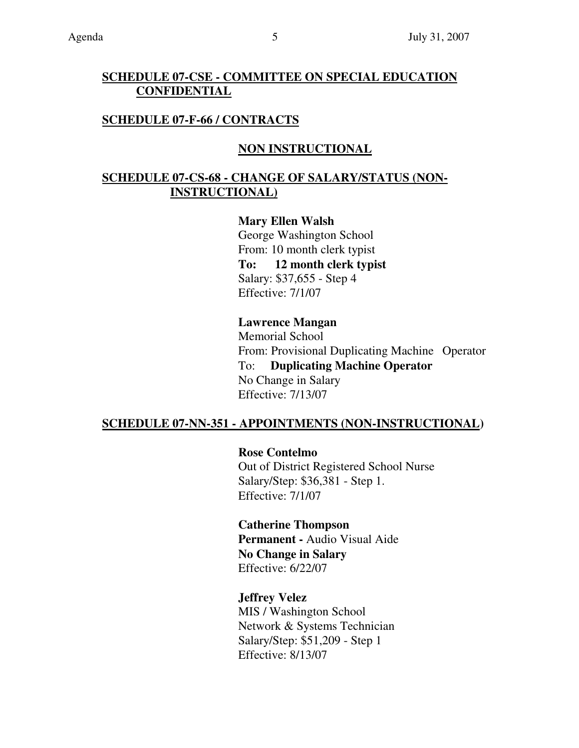## **SCHEDULE 07-CSE - COMMITTEE ON SPECIAL EDUCATION CONFIDENTIAL**

## **SCHEDULE 07-F-66 / CONTRACTS**

## **NON INSTRUCTIONAL**

## **SCHEDULE 07-CS-68 - CHANGE OF SALARY/STATUS (NON- INSTRUCTIONAL)**

**Mary Ellen Walsh**  George Washington School From: 10 month clerk typist **To: 12 month clerk typist**  Salary: \$37,655 - Step 4 Effective: 7/1/07

#### **Lawrence Mangan**

Memorial School From: Provisional Duplicating Machine Operator To: **Duplicating Machine Operator** No Change in Salary Effective: 7/13/07

## **SCHEDULE 07-NN-351 - APPOINTMENTS (NON-INSTRUCTIONAL)**

**Rose Contelmo**  Out of District Registered School Nurse Salary/Step: \$36,381 - Step 1. Effective: 7/1/07

**Catherine Thompson Permanent -** Audio Visual Aide **No Change in Salary**  Effective: 6/22/07

**Jeffrey Velez**  MIS / Washington School Network & Systems Technician Salary/Step: \$51,209 - Step 1 Effective: 8/13/07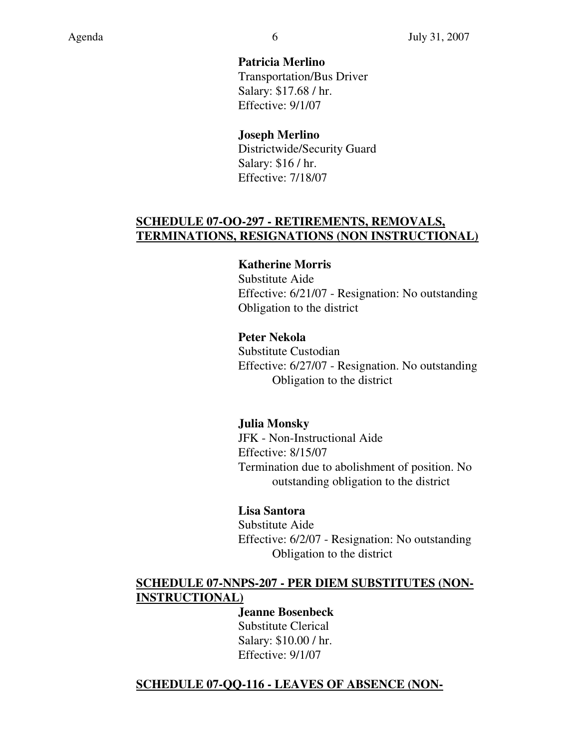**Patricia Merlino**  Transportation/Bus Driver Salary: \$17.68 / hr. Effective: 9/1/07

**Joseph Merlino**  Districtwide/Security Guard Salary: \$16 / hr. Effective: 7/18/07

# **SCHEDULE 07-OO-297 - RETIREMENTS, REMOVALS, TERMINATIONS, RESIGNATIONS (NON INSTRUCTIONAL)**

## **Katherine Morris**

Substitute Aide Effective: 6/21/07 - Resignation: No outstanding Obligation to the district

## **Peter Nekola**

Substitute Custodian Effective: 6/27/07 - Resignation. No outstanding Obligation to the district

## **Julia Monsky**

JFK - Non-Instructional Aide Effective: 8/15/07 Termination due to abolishment of position. No outstanding obligation to the district

## **Lisa Santora**

Substitute Aide Effective: 6/2/07 - Resignation: No outstanding Obligation to the district

## **SCHEDULE 07-NNPS-207 - PER DIEM SUBSTITUTES (NON- INSTRUCTIONAL)**

**Jeanne Bosenbeck**  Substitute Clerical Salary: \$10.00 / hr. Effective: 9/1/07

## **SCHEDULE 07-QQ-116 - LEAVES OF ABSENCE (NON-**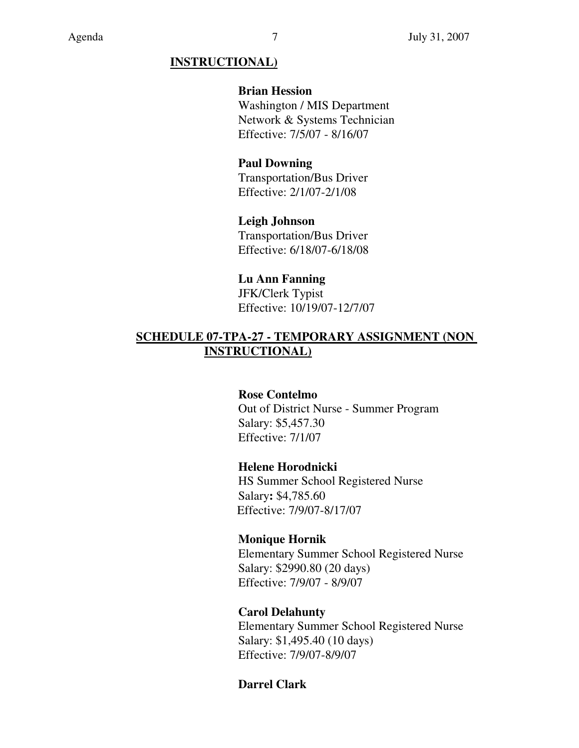## **INSTRUCTIONAL)**

### **Brian Hession**

Washington / MIS Department Network & Systems Technician Effective: 7/5/07 - 8/16/07

## **Paul Downing**

Transportation/Bus Driver Effective: 2/1/07-2/1/08

# **Leigh Johnson**

Transportation/Bus Driver Effective: 6/18/07-6/18/08

## **Lu Ann Fanning**

JFK/Clerk Typist Effective: 10/19/07-12/7/07

## **SCHEDULE 07-TPA-27 - TEMPORARY ASSIGNMENT (NON INSTRUCTIONAL)**

## **Rose Contelmo**

Out of District Nurse - Summer Program Salary: \$5,457.30 Effective: 7/1/07

## **Helene Horodnicki**

HS Summer School Registered Nurse Salary**:** \$4,785.60 Effective: 7/9/07-8/17/07

## **Monique Hornik**

Elementary Summer School Registered Nurse Salary: \$2990.80 (20 days) Effective: 7/9/07 - 8/9/07

## **Carol Delahunty**

Elementary Summer School Registered Nurse Salary: \$1,495.40 (10 days) Effective: 7/9/07-8/9/07

## **Darrel Clark**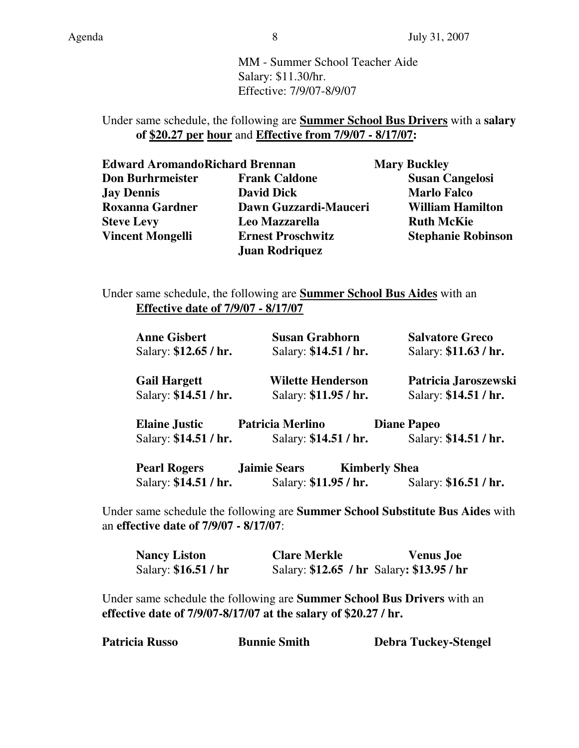MM - Summer School Teacher Aide Salary: \$11.30/hr. Effective: 7/9/07-8/9/07

## Under same schedule, the following are **Summer School Bus Drivers** with a **salary of \$20.27 per hour** and **Effective from 7/9/07 - 8/17/07:**

| <b>Edward AromandoRichard Brennan</b> |                          | <b>Mary Buckley</b>       |
|---------------------------------------|--------------------------|---------------------------|
| <b>Don Burhrmeister</b>               | <b>Frank Caldone</b>     | <b>Susan Cangelosi</b>    |
| <b>Jay Dennis</b>                     | <b>David Dick</b>        | <b>Marlo Falco</b>        |
| <b>Roxanna Gardner</b>                | Dawn Guzzardi-Mauceri    | <b>William Hamilton</b>   |
| <b>Steve Levy</b>                     | Leo Mazzarella           | <b>Ruth McKie</b>         |
| <b>Vincent Mongelli</b>               | <b>Ernest Proschwitz</b> | <b>Stephanie Robinson</b> |
|                                       | <b>Juan Rodriquez</b>    |                           |

Under same schedule, the following are **Summer School Bus Aides** with an **Effective date of 7/9/07 - 8/17/07**

| <b>Anne Gisbert</b>   | <b>Susan Grabhorn</b>                       | <b>Salvatore Greco</b> |
|-----------------------|---------------------------------------------|------------------------|
| Salary: \$12.65 / hr. | Salary: \$14.51 / hr.                       | Salary: \$11.63 / hr.  |
| <b>Gail Hargett</b>   | <b>Wilette Henderson</b>                    | Patricia Jaroszewski   |
| Salary: \$14.51 / hr. | Salary: \$11.95 / hr.                       | Salary: \$14.51 / hr.  |
| <b>Elaine Justic</b>  | <b>Patricia Merlino</b>                     | <b>Diane Papeo</b>     |
| Salary: \$14.51 / hr. | Salary: \$14.51 / hr.                       | Salary: \$14.51 / hr.  |
| <b>Pearl Rogers</b>   | <b>Jaimie Sears</b><br><b>Kimberly Shea</b> |                        |
| Salary: \$14.51 / hr. | Salary: \$11.95 / hr.                       | Salary: \$16.51 / hr.  |

Under same schedule the following are **Summer School Substitute Bus Aides** with an **effective date of 7/9/07 - 8/17/07**:

| <b>Nancy Liston</b>  | <b>Clare Merkle</b>                       | <b>Venus Joe</b> |
|----------------------|-------------------------------------------|------------------|
| Salary: \$16.51 / hr | Salary: \$12.65 / hr Salary: \$13.95 / hr |                  |

Under same schedule the following are **Summer School Bus Drivers** with an **effective date of 7/9/07-8/17/07 at the salary of \$20.27 / hr.** 

| Patricia Russo | <b>Bunnie Smith</b> | <b>Debra Tuckey-Stengel</b> |
|----------------|---------------------|-----------------------------|
|                |                     |                             |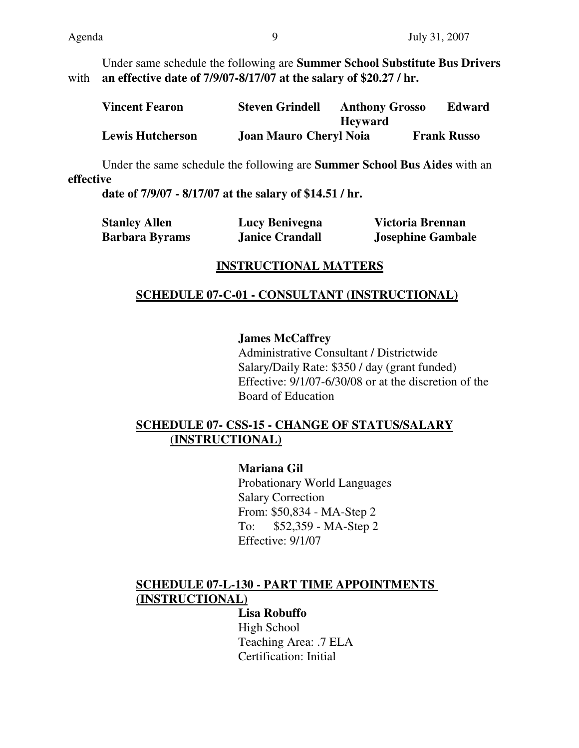Under same schedule the following are **Summer School Substitute Bus Drivers** with **an effective date of 7/9/07-8/17/07 at the salary of \$20.27 / hr.** 

| <b>Vincent Fearon</b>   | <b>Steven Grindell</b>        | <b>Anthony Grosso</b> | <b>Edward</b>      |
|-------------------------|-------------------------------|-----------------------|--------------------|
|                         |                               | <b>Heyward</b>        |                    |
| <b>Lewis Hutcherson</b> | <b>Joan Mauro Cheryl Noia</b> |                       | <b>Frank Russo</b> |

Under the same schedule the following are **Summer School Bus Aides** with an **effective** 

**date of 7/9/07 - 8/17/07 at the salary of \$14.51 / hr.**

| <b>Stanley Allen</b>  | Lucy Benivegna         | Victoria Brennan         |
|-----------------------|------------------------|--------------------------|
| <b>Barbara Byrams</b> | <b>Janice Crandall</b> | <b>Josephine Gambale</b> |

## **INSTRUCTIONAL MATTERS**

## **SCHEDULE 07-C-01 - CONSULTANT (INSTRUCTIONAL)**

## **James McCaffrey**

Administrative Consultant / Districtwide Salary/Daily Rate: \$350 / day (grant funded) Effective: 9/1/07-6/30/08 or at the discretion of the Board of Education

# **SCHEDULE 07- CSS-15 - CHANGE OF STATUS/SALARY (INSTRUCTIONAL)**

**Mariana Gil**  Probationary World Languages Salary Correction From: \$50,834 - MA-Step 2 To: \$52,359 - MA-Step 2 Effective: 9/1/07

# **SCHEDULE 07-L-130 - PART TIME APPOINTMENTS (INSTRUCTIONAL)**

**Lisa Robuffo**  High School Teaching Area: .7 ELA Certification: Initial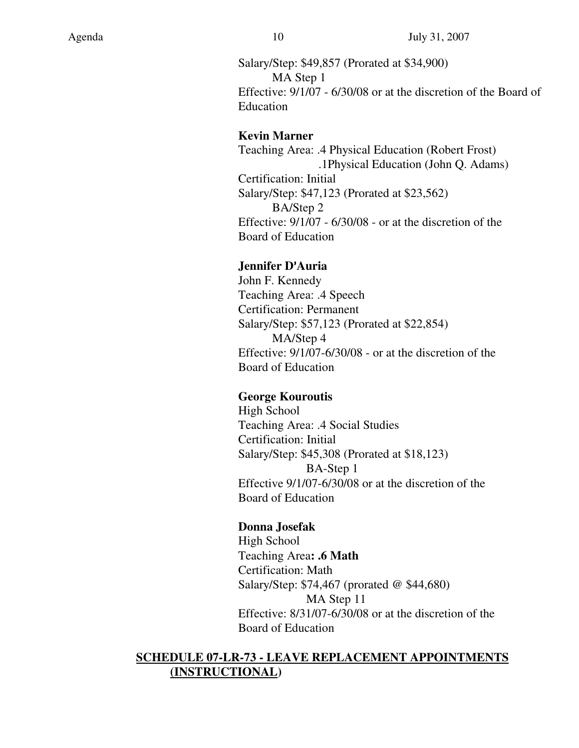Salary/Step: \$49,857 (Prorated at \$34,900) MA Step 1 Effective: 9/1/07 - 6/30/08 or at the discretion of the Board of Education

#### **Kevin Marner**

Teaching Area: .4 Physical Education (Robert Frost) .1Physical Education (John Q. Adams) Certification: Initial Salary/Step: \$47,123 (Prorated at \$23,562) BA/Step 2 Effective: 9/1/07 - 6/30/08 - or at the discretion of the Board of Education

## **Jennifer D**=**Auria**

John F. Kennedy Teaching Area: .4 Speech Certification: Permanent Salary/Step: \$57,123 (Prorated at \$22,854) MA/Step 4 Effective: 9/1/07-6/30/08 - or at the discretion of the Board of Education

## **George Kouroutis**

High School Teaching Area: .4 Social Studies Certification: Initial Salary/Step: \$45,308 (Prorated at \$18,123) BA-Step 1 Effective 9/1/07-6/30/08 or at the discretion of the Board of Education

## **Donna Josefak**

High School Teaching Area**: .6 Math**  Certification: Math Salary/Step: \$74,467 (prorated @ \$44,680) MA Step 11 Effective: 8/31/07-6/30/08 or at the discretion of the Board of Education

## **SCHEDULE 07-LR-73 - LEAVE REPLACEMENT APPOINTMENTS (INSTRUCTIONAL)**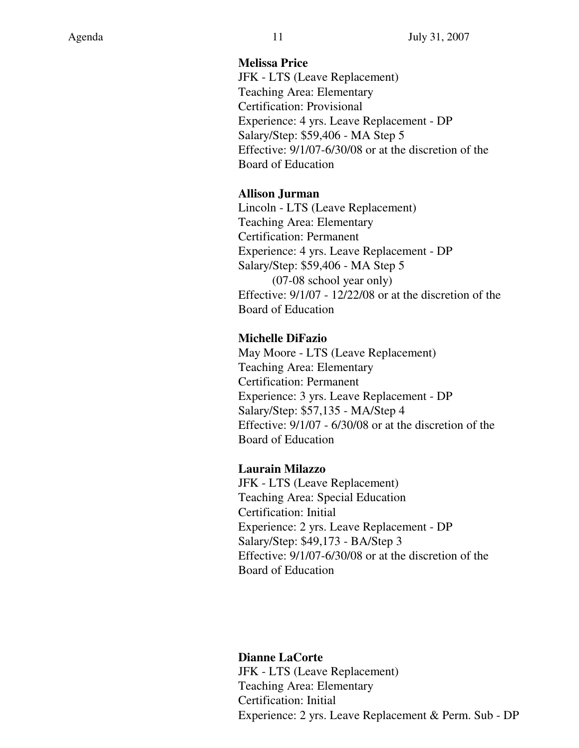#### **Melissa Price**

JFK - LTS (Leave Replacement) Teaching Area: Elementary Certification: Provisional Experience: 4 yrs. Leave Replacement - DP Salary/Step: \$59,406 - MA Step 5 Effective: 9/1/07-6/30/08 or at the discretion of the Board of Education

## **Allison Jurman**

Lincoln - LTS (Leave Replacement) Teaching Area: Elementary Certification: Permanent Experience: 4 yrs. Leave Replacement - DP Salary/Step: \$59,406 - MA Step 5 (07-08 school year only) Effective: 9/1/07 - 12/22/08 or at the discretion of the Board of Education

## **Michelle DiFazio**

May Moore - LTS (Leave Replacement) Teaching Area: Elementary Certification: Permanent Experience: 3 yrs. Leave Replacement - DP Salary/Step: \$57,135 - MA/Step 4 Effective: 9/1/07 - 6/30/08 or at the discretion of the Board of Education

## **Laurain Milazzo**

JFK - LTS (Leave Replacement) Teaching Area: Special Education Certification: Initial Experience: 2 yrs. Leave Replacement - DP Salary/Step: \$49,173 - BA/Step 3 Effective: 9/1/07-6/30/08 or at the discretion of the Board of Education

## **Dianne LaCorte**

JFK - LTS (Leave Replacement) Teaching Area: Elementary Certification: Initial Experience: 2 yrs. Leave Replacement & Perm. Sub - DP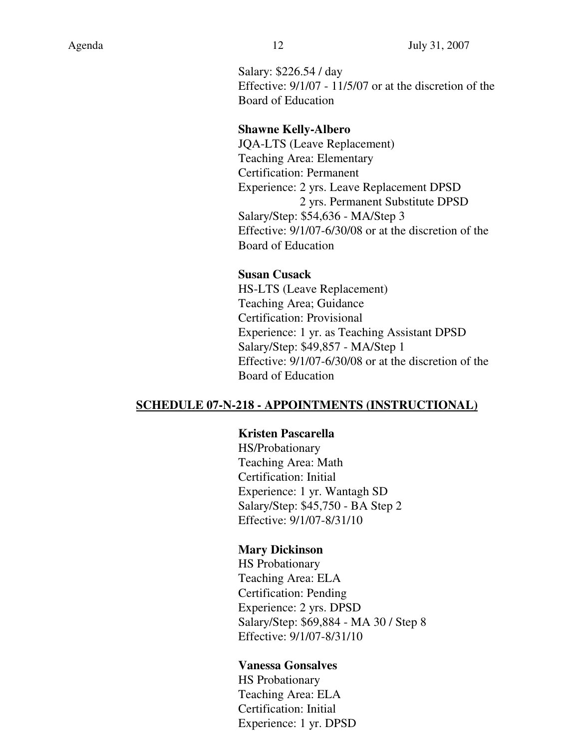Salary: \$226.54 / day Effective: 9/1/07 - 11/5/07 or at the discretion of the Board of Education

#### **Shawne Kelly-Albero**

JQA-LTS (Leave Replacement) Teaching Area: Elementary Certification: Permanent Experience: 2 yrs. Leave Replacement DPSD 2 yrs. Permanent Substitute DPSD Salary/Step: \$54,636 - MA/Step 3 Effective: 9/1/07-6/30/08 or at the discretion of the Board of Education

#### **Susan Cusack**

HS-LTS (Leave Replacement) Teaching Area; Guidance Certification: Provisional Experience: 1 yr. as Teaching Assistant DPSD Salary/Step: \$49,857 - MA/Step 1 Effective: 9/1/07-6/30/08 or at the discretion of the Board of Education

#### **SCHEDULE 07-N-218 - APPOINTMENTS (INSTRUCTIONAL)**

#### **Kristen Pascarella**

HS/Probationary Teaching Area: Math Certification: Initial Experience: 1 yr. Wantagh SD Salary/Step: \$45,750 - BA Step 2 Effective: 9/1/07-8/31/10

#### **Mary Dickinson**

HS Probationary Teaching Area: ELA Certification: Pending Experience: 2 yrs. DPSD Salary/Step: \$69,884 - MA 30 / Step 8 Effective: 9/1/07-8/31/10

#### **Vanessa Gonsalves**

HS Probationary Teaching Area: ELA Certification: Initial Experience: 1 yr. DPSD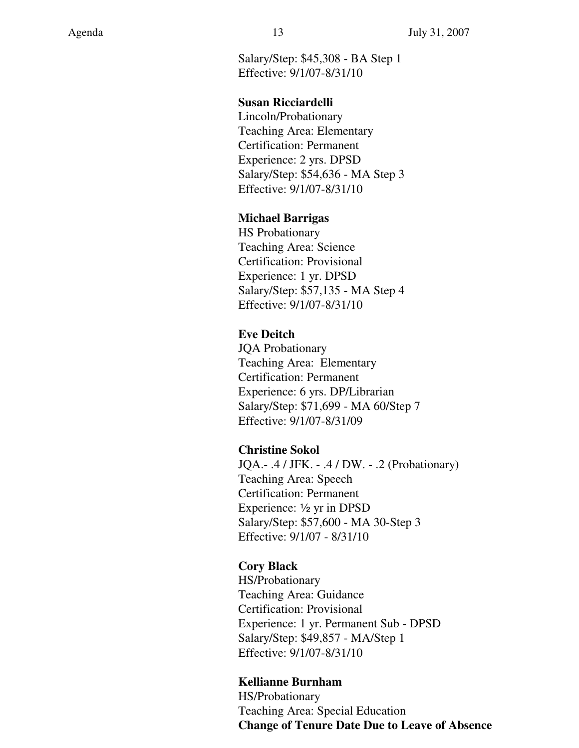Salary/Step: \$45,308 - BA Step 1 Effective: 9/1/07-8/31/10

#### **Susan Ricciardelli**

Lincoln/Probationary Teaching Area: Elementary Certification: Permanent Experience: 2 yrs. DPSD Salary/Step: \$54,636 - MA Step 3 Effective: 9/1/07-8/31/10

#### **Michael Barrigas**

HS Probationary Teaching Area: Science Certification: Provisional Experience: 1 yr. DPSD Salary/Step: \$57,135 - MA Step 4 Effective: 9/1/07-8/31/10

## **Eve Deitch**

JQA Probationary Teaching Area: Elementary Certification: Permanent Experience: 6 yrs. DP/Librarian Salary/Step: \$71,699 - MA 60/Step 7 Effective: 9/1/07-8/31/09

## **Christine Sokol**

JQA.- .4 / JFK. - .4 / DW. - .2 (Probationary) Teaching Area: Speech Certification: Permanent Experience:  $\frac{1}{2}$  yr in DPSD Salary/Step: \$57,600 - MA 30-Step 3 Effective: 9/1/07 - 8/31/10

## **Cory Black**

HS/Probationary Teaching Area: Guidance Certification: Provisional Experience: 1 yr. Permanent Sub - DPSD Salary/Step: \$49,857 - MA/Step 1 Effective: 9/1/07-8/31/10

## **Kellianne Burnham**

HS/Probationary Teaching Area: Special Education **Change of Tenure Date Due to Leave of Absence**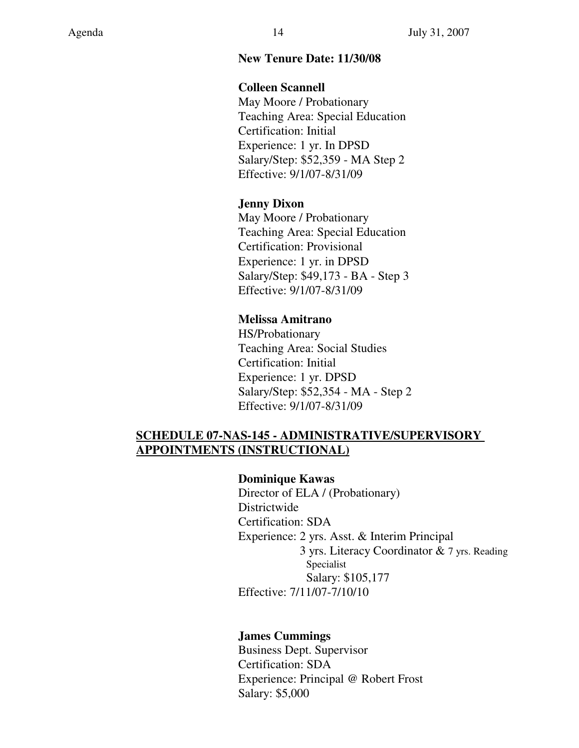#### **New Tenure Date: 11/30/08**

#### **Colleen Scannell**

May Moore / Probationary Teaching Area: Special Education Certification: Initial Experience: 1 yr. In DPSD Salary/Step: \$52,359 - MA Step 2 Effective: 9/1/07-8/31/09

#### **Jenny Dixon**

May Moore / Probationary Teaching Area: Special Education Certification: Provisional Experience: 1 yr. in DPSD Salary/Step: \$49,173 - BA - Step 3 Effective: 9/1/07-8/31/09

#### **Melissa Amitrano**

HS/Probationary Teaching Area: Social Studies Certification: Initial Experience: 1 yr. DPSD Salary/Step: \$52,354 - MA - Step 2 Effective: 9/1/07-8/31/09

## **SCHEDULE 07-NAS-145 - ADMINISTRATIVE/SUPERVISORY APPOINTMENTS (INSTRUCTIONAL)**

#### **Dominique Kawas**

Director of ELA / (Probationary) Districtwide Certification: SDA Experience: 2 yrs. Asst. & Interim Principal 3 yrs. Literacy Coordinator & 7 yrs. Reading Specialist Salary: \$105,177 Effective: 7/11/07-7/10/10

#### **James Cummings**

Business Dept. Supervisor Certification: SDA Experience: Principal @ Robert Frost Salary: \$5,000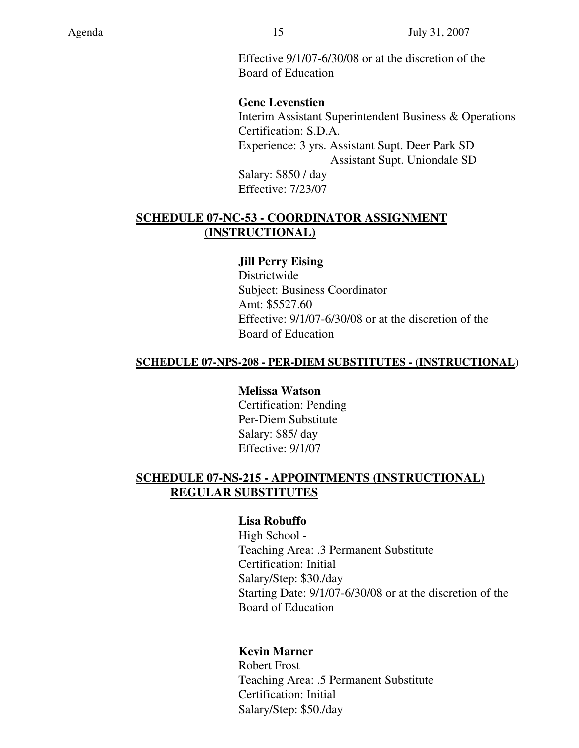Effective 9/1/07-6/30/08 or at the discretion of the Board of Education

#### **Gene Levenstien**

Interim Assistant Superintendent Business & Operations Certification: S.D.A. Experience: 3 yrs. Assistant Supt. Deer Park SD Assistant Supt. Uniondale SD Salary: \$850 / day Effective: 7/23/07

## **SCHEDULE 07-NC-53 - COORDINATOR ASSIGNMENT (INSTRUCTIONAL)**

#### **Jill Perry Eising**

Districtwide Subject: Business Coordinator Amt: \$5527.60 Effective: 9/1/07-6/30/08 or at the discretion of the Board of Education

#### **SCHEDULE 07-NPS-208 - PER-DIEM SUBSTITUTES - (INSTRUCTIONAL**)

#### **Melissa Watson**  Certification: Pending Per-Diem Substitute

Salary: \$85/ day Effective: 9/1/07

## **SCHEDULE 07-NS-215 - APPOINTMENTS (INSTRUCTIONAL) REGULAR SUBSTITUTES**

#### **Lisa Robuffo**

High School - Teaching Area: .3 Permanent Substitute Certification: Initial Salary/Step: \$30./day Starting Date: 9/1/07-6/30/08 or at the discretion of the Board of Education

## **Kevin Marner**

Robert Frost Teaching Area: .5 Permanent Substitute Certification: Initial Salary/Step: \$50./day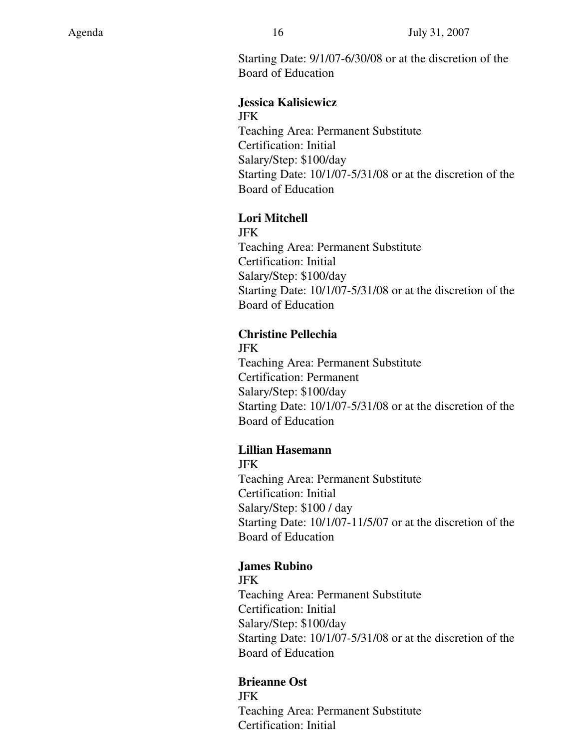Starting Date: 9/1/07-6/30/08 or at the discretion of the Board of Education

#### **Jessica Kalisiewicz**  JFK

Teaching Area: Permanent Substitute Certification: Initial Salary/Step: \$100/day Starting Date: 10/1/07-5/31/08 or at the discretion of the Board of Education

## **Lori Mitchell**

JFK Teaching Area: Permanent Substitute Certification: Initial Salary/Step: \$100/day Starting Date: 10/1/07-5/31/08 or at the discretion of the Board of Education

## **Christine Pellechia**

JFK Teaching Area: Permanent Substitute Certification: Permanent Salary/Step: \$100/day Starting Date: 10/1/07-5/31/08 or at the discretion of the Board of Education

# **Lillian Hasemann**

JFK Teaching Area: Permanent Substitute Certification: Initial Salary/Step: \$100 / day Starting Date: 10/1/07-11/5/07 or at the discretion of the Board of Education

## **James Rubino**

JFK Teaching Area: Permanent Substitute Certification: Initial Salary/Step: \$100/day Starting Date: 10/1/07-5/31/08 or at the discretion of the Board of Education

**Brieanne Ost**  JFK Teaching Area: Permanent Substitute Certification: Initial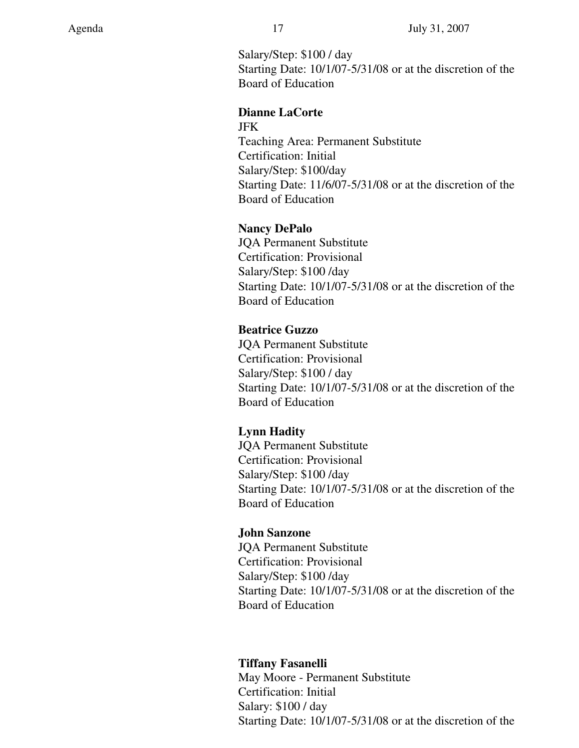Salary/Step: \$100 / day Starting Date: 10/1/07-5/31/08 or at the discretion of the Board of Education

#### **Dianne LaCorte**

JFK

Teaching Area: Permanent Substitute Certification: Initial Salary/Step: \$100/day Starting Date: 11/6/07-5/31/08 or at the discretion of the Board of Education

## **Nancy DePalo**

JQA Permanent Substitute Certification: Provisional Salary/Step: \$100 /day Starting Date: 10/1/07-5/31/08 or at the discretion of the Board of Education

## **Beatrice Guzzo**

JQA Permanent Substitute Certification: Provisional Salary/Step: \$100 / day Starting Date: 10/1/07-5/31/08 or at the discretion of the Board of Education

## **Lynn Hadity**

JQA Permanent Substitute Certification: Provisional Salary/Step: \$100 /day Starting Date: 10/1/07-5/31/08 or at the discretion of the Board of Education

## **John Sanzone**

JQA Permanent Substitute Certification: Provisional Salary/Step: \$100 /day Starting Date: 10/1/07-5/31/08 or at the discretion of the Board of Education

## **Tiffany Fasanelli**

May Moore - Permanent Substitute Certification: Initial Salary: \$100 / day Starting Date: 10/1/07-5/31/08 or at the discretion of the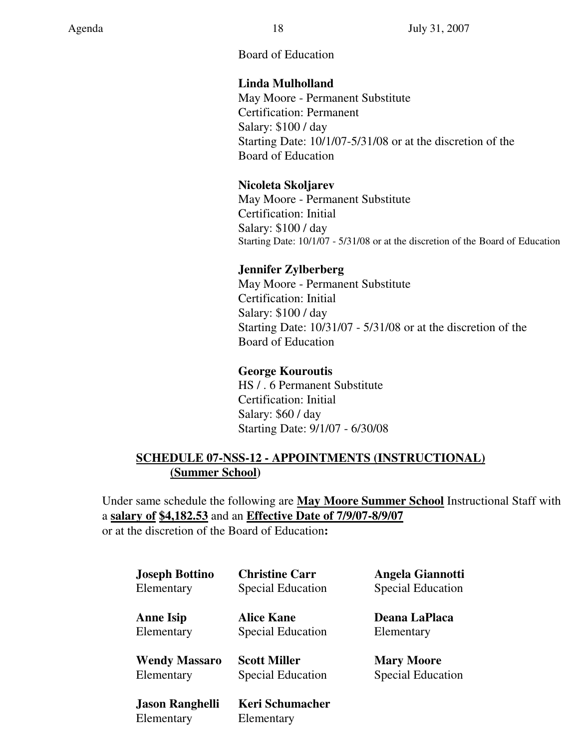## Board of Education

## **Linda Mulholland**

May Moore - Permanent Substitute Certification: Permanent Salary: \$100 / day Starting Date: 10/1/07-5/31/08 or at the discretion of the Board of Education

## **Nicoleta Skoljarev**

May Moore - Permanent Substitute Certification: Initial Salary: \$100 / day Starting Date: 10/1/07 - 5/31/08 or at the discretion of the Board of Education

## **Jennifer Zylberberg**

May Moore - Permanent Substitute Certification: Initial Salary: \$100 / day Starting Date: 10/31/07 - 5/31/08 or at the discretion of the Board of Education

## **George Kouroutis**

HS / . 6 Permanent Substitute Certification: Initial Salary: \$60 / day Starting Date: 9/1/07 - 6/30/08

## **SCHEDULE 07-NSS-12 - APPOINTMENTS (INSTRUCTIONAL) (Summer School)**

Under same schedule the following are **May Moore Summer School** Instructional Staff with a **salary of \$4,182.53** and an **Effective Date of 7/9/07-8/9/07** or at the discretion of the Board of Education**:** 

| <b>Joseph Bottino</b>  | <b>Christine Carr</b>    | Angela Giannotti         |
|------------------------|--------------------------|--------------------------|
| Elementary             | <b>Special Education</b> | <b>Special Education</b> |
| <b>Anne Isip</b>       | <b>Alice Kane</b>        | Deana LaPlaca            |
| Elementary             | <b>Special Education</b> | Elementary               |
| <b>Wendy Massaro</b>   | <b>Scott Miller</b>      | <b>Mary Moore</b>        |
| Elementary             | <b>Special Education</b> | <b>Special Education</b> |
| <b>Jason Ranghelli</b> | Keri Schumacher          |                          |

Elementary Elementary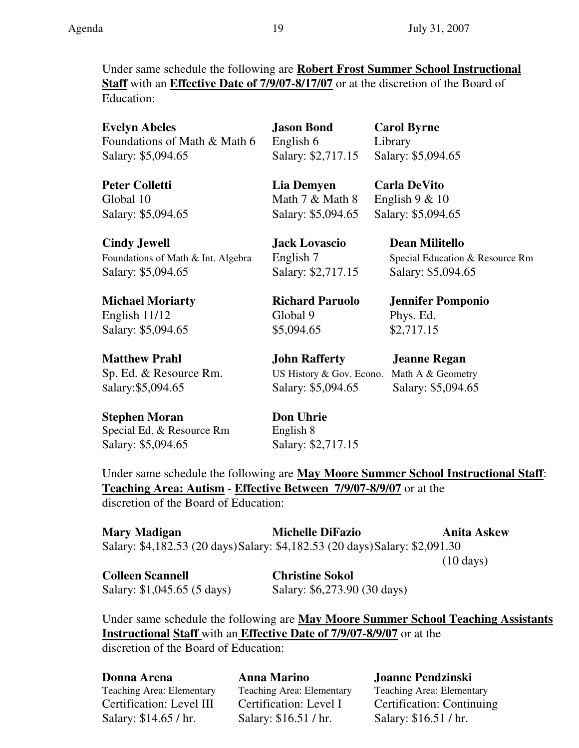Under same schedule the following are **Robert Frost Summer School Instructional Staff** with an **Effective Date of 7/9/07-8/17/07** or at the discretion of the Board of Education:

**Evelyn Abeles Jason Bond Carol Byrne** Foundations of Math & Math 6 English 6 Library Salary: \$5,094.65 Salary: \$2,717.15 Salary: \$5,094.65

**Cindy Jewell Jack Lovascio Dean Militello**  Foundations of Math & Int. Algebra English 7 Special Education & Resource Rm Salary: \$5,094.65 Salary: \$2,717.15 Salary: \$5,094.65

**Michael Moriarty Richard Paruolo Jennifer Pomponio** English 11/12 Global 9 Phys. Ed. Salary: \$5,094.65 \$5,094.65 \$2,717.15

**Matthew Prahl John Rafferty Jeanne Regan** Sp. Ed. & Resource Rm. US History & Gov. Econo. Math A & Geometry Salary:\$5,094.65 Salary: \$5,094.65 Salary: \$5,094.65

**Stephen Moran Don Uhrie** Special Ed. & Resource Rm English 8

**Peter Colletti Lia Demyen Carla DeVito** Global 10 Math 7 & Math 8 English 9 & 10 Salary: \$5,094.65 Salary: \$5,094.65 Salary: \$5,094.65

Salary: \$5,094.65 Salary: \$2,717.15

Under same schedule the following are **May Moore Summer School Instructional Staff**: **Teaching Area: Autism** - **Effective Between 7/9/07-8/9/07** or at the discretion of the Board of Education:

**Mary Madigan Michelle DiFazio Anita Askew**  Salary: \$4,182.53 (20 days) Salary: \$4,182.53 (20 days) Salary: \$2,091.30

(10 days)

**Colleen Scannell Christine Sokol** 

Salary: \$1,045.65 (5 days) Salary: \$6,273.90 (30 days)

Under same schedule the following are **May Moore Summer School Teaching Assistants Instructional Staff** with an **Effective Date of 7/9/07-8/9/07** or at the discretion of the Board of Education:

**Donna Arena Anna Marino Joanne Pendzinski**  Teaching Area: Elementary Teaching Area: Elementary Teaching Area: Elementary Certification: Level III Certification: Level I Certification: Continuing Salary: \$14.65 / hr. Salary: \$16.51 / hr. Salary: \$16.51 / hr.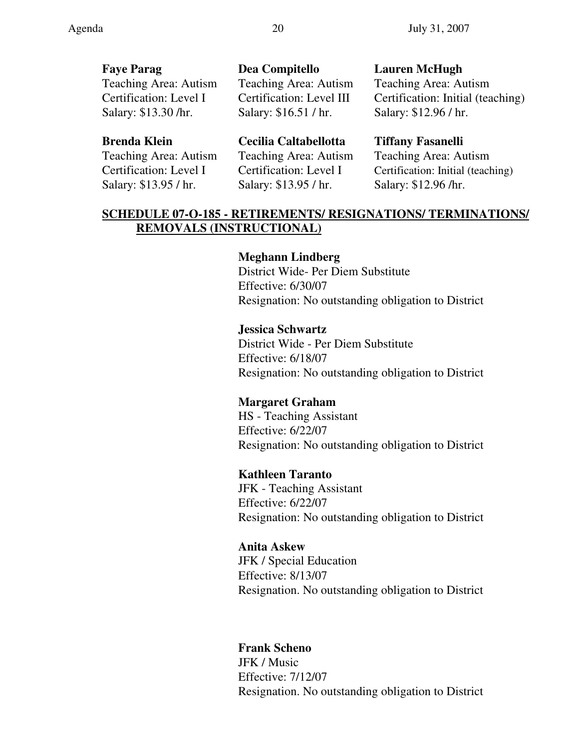**Faye Parag Dea Compitello Lauren McHugh**  Teaching Area: Autism Teaching Area: Autism Teaching Area: Autism Certification: Level I Certification: Level III Certification: Initial (teaching) Salary: \$13.30 /hr. Salary: \$16.51 / hr. Salary: \$12.96 / hr.

Salary: \$13.95 / hr.Salary: \$13.95 / hr.Salary: \$12.96 /hr.

#### **Brenda Klein Cecilia Caltabellotta Tiffany Fasanelli**

Teaching Area: Autism Teaching Area: Autism Teaching Area: Autism Certification: Level I Certification: Level I Certification: Initial (teaching)

## **SCHEDULE 07-O-185 - RETIREMENTS/ RESIGNATIONS/ TERMINATIONS/ REMOVALS (INSTRUCTIONAL)**

#### **Meghann Lindberg**

District Wide- Per Diem Substitute Effective: 6/30/07 Resignation: No outstanding obligation to District

#### **Jessica Schwartz**

District Wide - Per Diem Substitute Effective: 6/18/07 Resignation: No outstanding obligation to District

#### **Margaret Graham**

HS - Teaching Assistant Effective: 6/22/07 Resignation: No outstanding obligation to District

#### **Kathleen Taranto**

JFK - Teaching Assistant Effective: 6/22/07 Resignation: No outstanding obligation to District

#### **Anita Askew**

JFK / Special Education Effective: 8/13/07 Resignation. No outstanding obligation to District

#### **Frank Scheno**

JFK / Music Effective: 7/12/07 Resignation. No outstanding obligation to District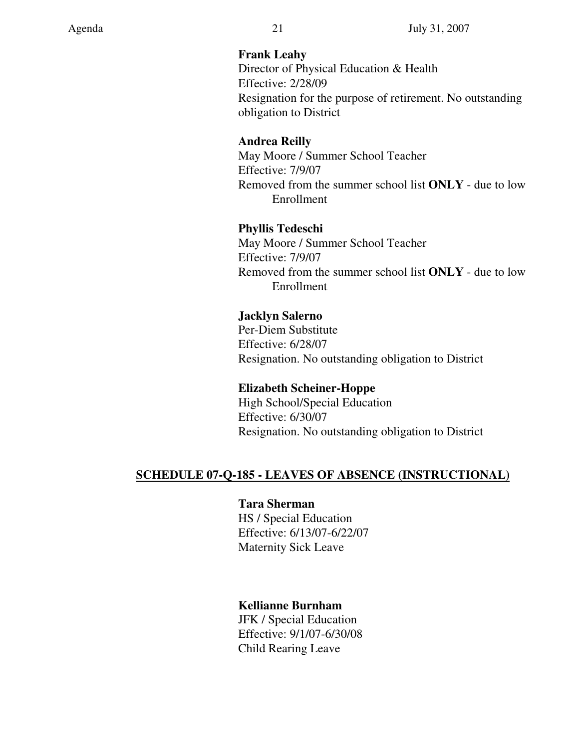## **Frank Leahy**

Director of Physical Education & Health Effective: 2/28/09 Resignation for the purpose of retirement. No outstanding obligation to District

## **Andrea Reilly**

May Moore / Summer School Teacher Effective: 7/9/07 Removed from the summer school list **ONLY** - due to low Enrollment

# **Phyllis Tedeschi**

May Moore / Summer School Teacher Effective: 7/9/07 Removed from the summer school list **ONLY** - due to low Enrollment

## **Jacklyn Salerno**

Per-Diem Substitute Effective: 6/28/07 Resignation. No outstanding obligation to District

# **Elizabeth Scheiner-Hoppe**

High School/Special Education Effective: 6/30/07 Resignation. No outstanding obligation to District

# **SCHEDULE 07-Q-185 - LEAVES OF ABSENCE (INSTRUCTIONAL)**

## **Tara Sherman**

HS / Special Education Effective: 6/13/07-6/22/07 Maternity Sick Leave

# **Kellianne Burnham**

JFK / Special Education Effective: 9/1/07-6/30/08 Child Rearing Leave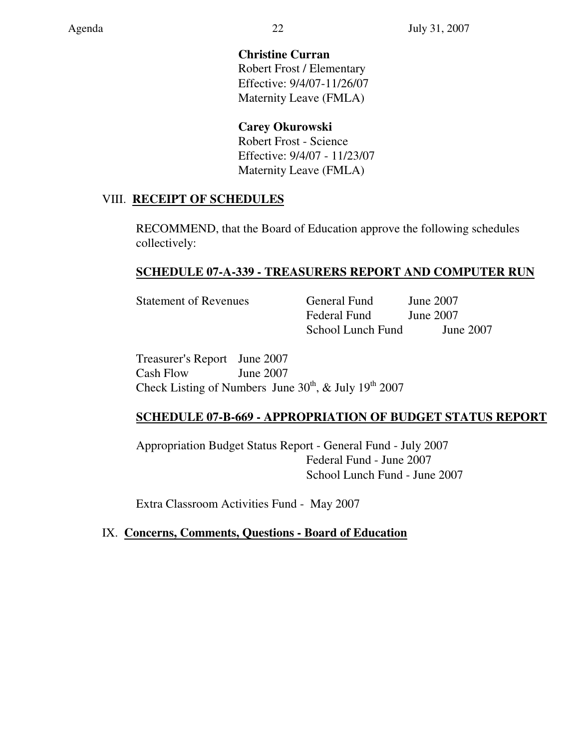# **Christine Curran**

Robert Frost / Elementary Effective: 9/4/07-11/26/07 Maternity Leave (FMLA)

# **Carey Okurowski**

Robert Frost - Science Effective: 9/4/07 - 11/23/07 Maternity Leave (FMLA)

# VIII. **RECEIPT OF SCHEDULES**

RECOMMEND, that the Board of Education approve the following schedules collectively:

# **SCHEDULE 07-A-339 - TREASURERS REPORT AND COMPUTER RUN**

Statement of Revenues General Fund June 2007 Federal Fund June 2007 School Lunch Fund June 2007

Treasurer's Report June 2007 Cash Flow June 2007 Check Listing of Numbers June  $30^{th}$ , & July  $19^{th}$  2007

# **SCHEDULE 07-B-669 - APPROPRIATION OF BUDGET STATUS REPORT**

Appropriation Budget Status Report - General Fund - July 2007 Federal Fund - June 2007 School Lunch Fund - June 2007

Extra Classroom Activities Fund - May 2007

# IX. **Concerns, Comments, Questions - Board of Education**